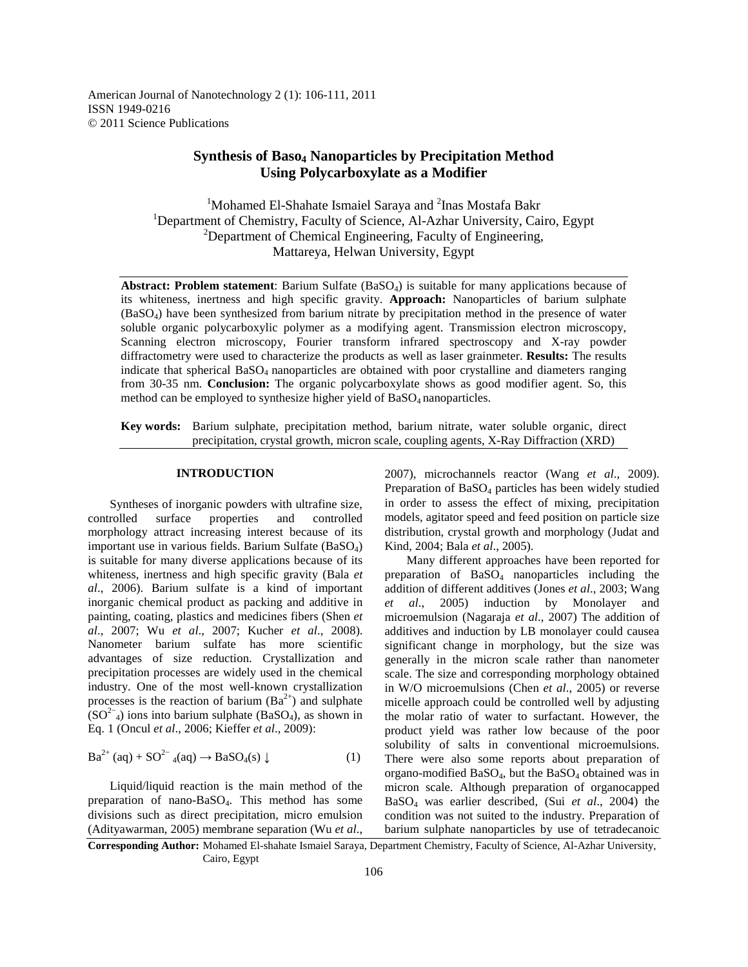# **Synthesis of Baso4 Nanoparticles by Precipitation Method Using Polycarboxylate as a Modifier**

<sup>1</sup>Mohamed El-Shahate Ismaiel Saraya and <sup>2</sup>Inas Mostafa Bakr <sup>1</sup>Department of Chemistry, Faculty of Science, Al-Azhar University, Cairo, Egypt  $2$ Department of Chemical Engineering, Faculty of Engineering, Mattareya, Helwan University, Egypt

**Abstract: Problem statement**: Barium Sulfate (BaSO4) is suitable for many applications because of its whiteness, inertness and high specific gravity. **Approach:** Nanoparticles of barium sulphate (BaSO4) have been synthesized from barium nitrate by precipitation method in the presence of water soluble organic polycarboxylic polymer as a modifying agent. Transmission electron microscopy, Scanning electron microscopy, Fourier transform infrared spectroscopy and X-ray powder diffractometry were used to characterize the products as well as laser grainmeter. **Results:** The results indicate that spherical BaSO4 nanoparticles are obtained with poor crystalline and diameters ranging from 30-35 nm. **Conclusion:** The organic polycarboxylate shows as good modifier agent. So, this method can be employed to synthesize higher yield of  $BaSO<sub>4</sub>$  nanoparticles.

**Key words:** Barium sulphate, precipitation method, barium nitrate, water soluble organic, direct precipitation, crystal growth, micron scale, coupling agents, X-Ray Diffraction (XRD)

## **INTRODUCTION**

 Syntheses of inorganic powders with ultrafine size, controlled surface properties and controlled morphology attract increasing interest because of its important use in various fields. Barium Sulfate (BaSO4) is suitable for many diverse applications because of its whiteness, inertness and high specific gravity (Bala *et al*., 2006). Barium sulfate is a kind of important inorganic chemical product as packing and additive in painting, coating, plastics and medicines fibers (Shen *et al*., 2007; Wu *et al*., 2007; Kucher *et al*., 2008). Nanometer barium sulfate has more scientific advantages of size reduction. Crystallization and precipitation processes are widely used in the chemical industry. One of the most well-known crystallization processes is the reaction of barium  $(Ba^{2+})$  and sulphate  $(SO<sup>2−</sup><sub>4</sub>)$  ions into barium sulphate (BaSO<sub>4</sub>), as shown in Eq. 1 (Oncul *et al*., 2006; Kieffer *et al*., 2009):

$$
\text{Ba}^{2+} \left( \text{aq} \right) + \text{SO}^{2-} \left( \text{aq} \right) \to \text{BaSO}_4(\text{s}) \downarrow \tag{1}
$$

 Liquid/liquid reaction is the main method of the preparation of nano-BaSO4. This method has some divisions such as direct precipitation, micro emulsion (Adityawarman, 2005) membrane separation (Wu *et al*., 2007), microchannels reactor (Wang *et al*., 2009). Preparation of BaSO<sub>4</sub> particles has been widely studied in order to assess the effect of mixing, precipitation models, agitator speed and feed position on particle size distribution, crystal growth and morphology (Judat and Kind, 2004; Bala *et al*., 2005).

 Many different approaches have been reported for preparation of  $BaSO<sub>4</sub>$  nanoparticles including the addition of different additives (Jones *et al*., 2003; Wang *et al*., 2005) induction by Monolayer and microemulsion (Nagaraja *et al*., 2007) The addition of additives and induction by LB monolayer could causea significant change in morphology, but the size was generally in the micron scale rather than nanometer scale. The size and corresponding morphology obtained in W/O microemulsions (Chen *et al*., 2005) or reverse micelle approach could be controlled well by adjusting the molar ratio of water to surfactant. However, the product yield was rather low because of the poor solubility of salts in conventional microemulsions. There were also some reports about preparation of organo-modified  $BaSO<sub>4</sub>$ , but the  $BaSO<sub>4</sub>$  obtained was in micron scale. Although preparation of organocapped BaSO4 was earlier described, (Sui *et al*., 2004) the condition was not suited to the industry. Preparation of barium sulphate nanoparticles by use of tetradecanoic

**Corresponding Author:** Mohamed El-shahate Ismaiel Saraya, Department Chemistry, Faculty of Science, Al-Azhar University, Cairo, Egypt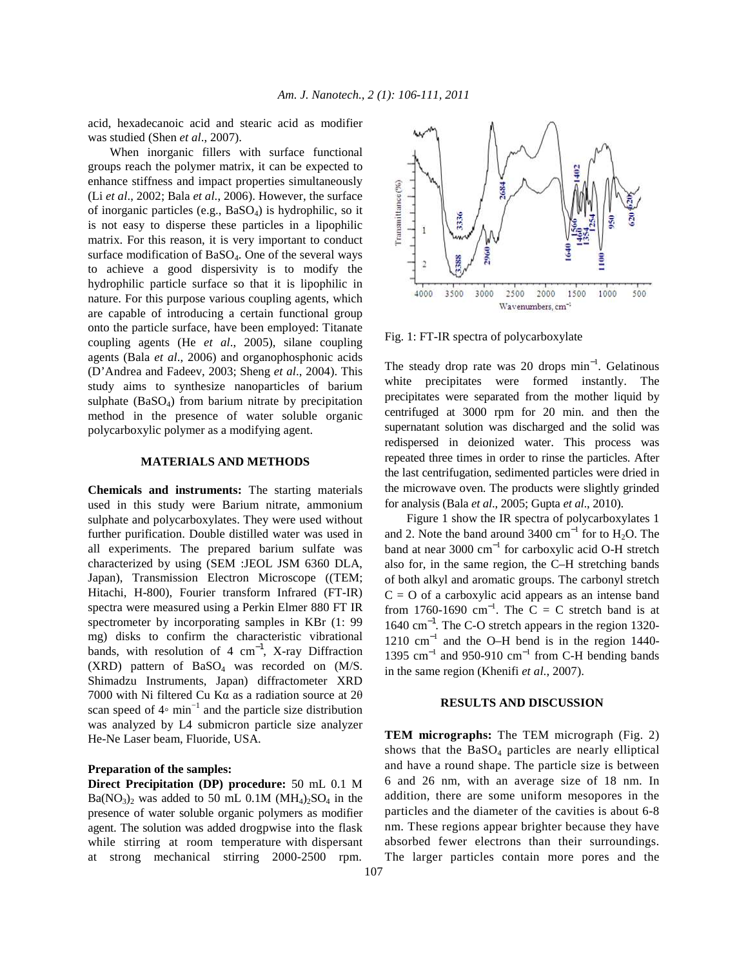acid, hexadecanoic acid and stearic acid as modifier was studied (Shen *et al*., 2007).

 When inorganic fillers with surface functional groups reach the polymer matrix, it can be expected to enhance stiffness and impact properties simultaneously (Li *et al*., 2002; Bala *et al*., 2006). However, the surface of inorganic particles (e.g.,  $BaSO<sub>4</sub>$ ) is hydrophilic, so it is not easy to disperse these particles in a lipophilic matrix. For this reason, it is very important to conduct surface modification of BaSO<sub>4</sub>. One of the several ways to achieve a good dispersivity is to modify the hydrophilic particle surface so that it is lipophilic in nature. For this purpose various coupling agents, which are capable of introducing a certain functional group onto the particle surface, have been employed: Titanate coupling agents (He *et al*., 2005), silane coupling agents (Bala *et al*., 2006) and organophosphonic acids (D'Andrea and Fadeev, 2003; Sheng *et al*., 2004). This study aims to synthesize nanoparticles of barium sulphate (BaSO<sub>4</sub>) from barium nitrate by precipitation method in the presence of water soluble organic polycarboxylic polymer as a modifying agent.

# **MATERIALS AND METHODS**

**Chemicals and instruments:** The starting materials used in this study were Barium nitrate, ammonium sulphate and polycarboxylates. They were used without further purification. Double distilled water was used in all experiments. The prepared barium sulfate was characterized by using (SEM :JEOL JSM 6360 DLA, Japan), Transmission Electron Microscope ((TEM; Hitachi, H-800), Fourier transform Infrared (FT-IR) spectra were measured using a Perkin Elmer 880 FT IR spectrometer by incorporating samples in KBr (1: 99 mg) disks to confirm the characteristic vibrational bands, with resolution of 4  $cm^{-1}$ , X-ray Diffraction  $(XRD)$  pattern of BaSO<sub>4</sub> was recorded on  $(M/S)$ . Shimadzu Instruments, Japan) diffractometer XRD 7000 with Ni filtered Cu Kα as a radiation source at 2θ scan speed of 4◦ min−1 and the particle size distribution was analyzed by L4 submicron particle size analyzer He-Ne Laser beam, Fluoride, USA.

# **Preparation of the samples:**

**Direct Precipitation (DP) procedure:** 50 mL 0.1 M  $Ba(NO<sub>3</sub>)<sub>2</sub>$  was added to 50 mL 0.1M  $(MH<sub>4</sub>)<sub>2</sub>SO<sub>4</sub>$  in the presence of water soluble organic polymers as modifier agent. The solution was added drogpwise into the flask while stirring at room temperature with dispersant at strong mechanical stirring 2000-2500 rpm.



Fig. 1: FT-IR spectra of polycarboxylate

The steady drop rate was 20 drops  $min^{-1}$ . Gelatinous white precipitates were formed instantly. The precipitates were separated from the mother liquid by centrifuged at 3000 rpm for 20 min. and then the supernatant solution was discharged and the solid was redispersed in deionized water. This process was repeated three times in order to rinse the particles. After the last centrifugation, sedimented particles were dried in the microwave oven. The products were slightly grinded for analysis (Bala *et al*., 2005; Gupta *et al*., 2010).

 Figure 1 show the IR spectra of polycarboxylates 1 and 2. Note the band around 3400  $\text{cm}^{-1}$  for to H<sub>2</sub>O. The band at near 3000 cm<sup>−</sup><sup>1</sup> for carboxylic acid O-H stretch also for, in the same region, the C–H stretching bands of both alkyl and aromatic groups. The carbonyl stretch  $C = O$  of a carboxylic acid appears as an intense band from 1760-1690 cm<sup>-1</sup>. The C = C stretch band is at 1640 cm−1. The C-O stretch appears in the region 1320- 1210 cm<sup>−</sup><sup>1</sup> and the O–H bend is in the region 1440- 1395  $\text{cm}^{-1}$  and 950-910  $\text{cm}^{-1}$  from C-H bending bands in the same region (Khenifi *et al*., 2007).

### **RESULTS AND DISCUSSION**

**TEM micrographs:** The TEM micrograph (Fig. 2) shows that the  $BaSO<sub>4</sub>$  particles are nearly elliptical and have a round shape. The particle size is between 6 and 26 nm, with an average size of 18 nm. In addition, there are some uniform mesopores in the particles and the diameter of the cavities is about 6-8 nm. These regions appear brighter because they have absorbed fewer electrons than their surroundings. The larger particles contain more pores and the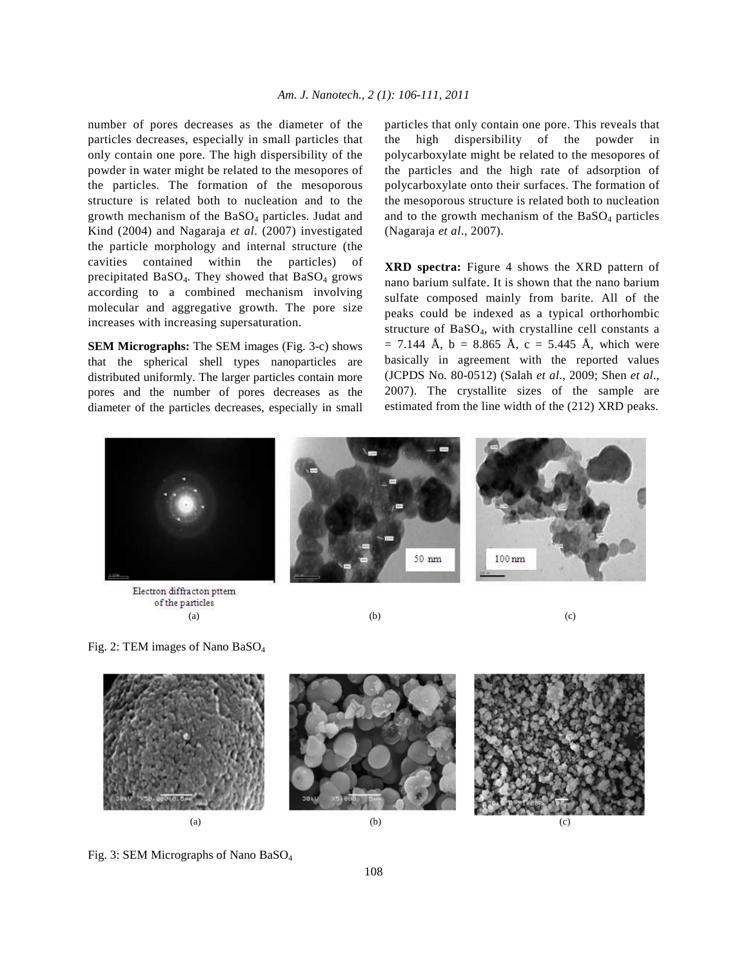number of pores decreases as the diameter of the particles decreases, especially in small particles that only contain one pore. The high dispersibility of the powder in water might be related to the mesopores of the particles. The formation of the mesoporous structure is related both to nucleation and to the growth mechanism of the  $BaSO<sub>4</sub>$  particles. Judat and Kind (2004) and Nagaraja *et al*. (2007) investigated the particle morphology and internal structure (the cavities contained within the particles) of precipitated  $BaSO<sub>4</sub>$ . They showed that  $BaSO<sub>4</sub>$  grows according to a combined mechanism involving molecular and aggregative growth. The pore size increases with increasing supersaturation.

**SEM Micrographs:** The SEM images (Fig. 3-c) shows that the spherical shell types nanoparticles are distributed uniformly. The larger particles contain more pores and the number of pores decreases as the diameter of the particles decreases, especially in small particles that only contain one pore. This reveals that the high dispersibility of the powder in polycarboxylate might be related to the mesopores of the particles and the high rate of adsorption of polycarboxylate onto their surfaces. The formation of the mesoporous structure is related both to nucleation and to the growth mechanism of the  $BaSO<sub>4</sub>$  particles (Nagaraja *et al*., 2007).

**XRD spectra:** Figure 4 shows the XRD pattern of nano barium sulfate. It is shown that the nano barium sulfate composed mainly from barite. All of the peaks could be indexed as a typical orthorhombic structure of BaSO4, with crystalline cell constants a  $= 7.144$  Å, b = 8.865 Å, c = 5.445 Å, which were basically in agreement with the reported values (JCPDS No. 80-0512) (Salah *et al*., 2009; Shen *et al*., 2007). The crystallite sizes of the sample are estimated from the line width of the (212) XRD peaks.



Electron diffracton pttem of the particles (a)  $(b)$  (c)

Fig. 2: TEM images of Nano BaSO<sup>4</sup>



Fig. 3: SEM Micrographs of Nano BaSO4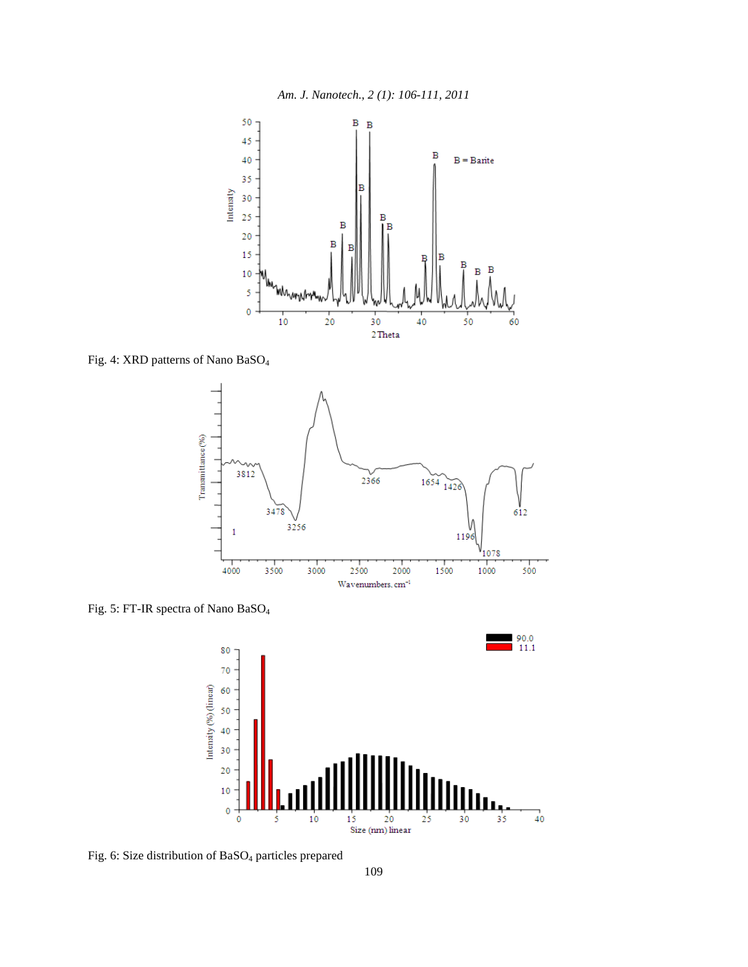

Fig. 4: XRD patterns of Nano BaSO<sup>4</sup>



Fig. 5: FT-IR spectra of Nano BaSO<sup>4</sup>



Fig. 6: Size distribution of BaSO<sub>4</sub> particles prepared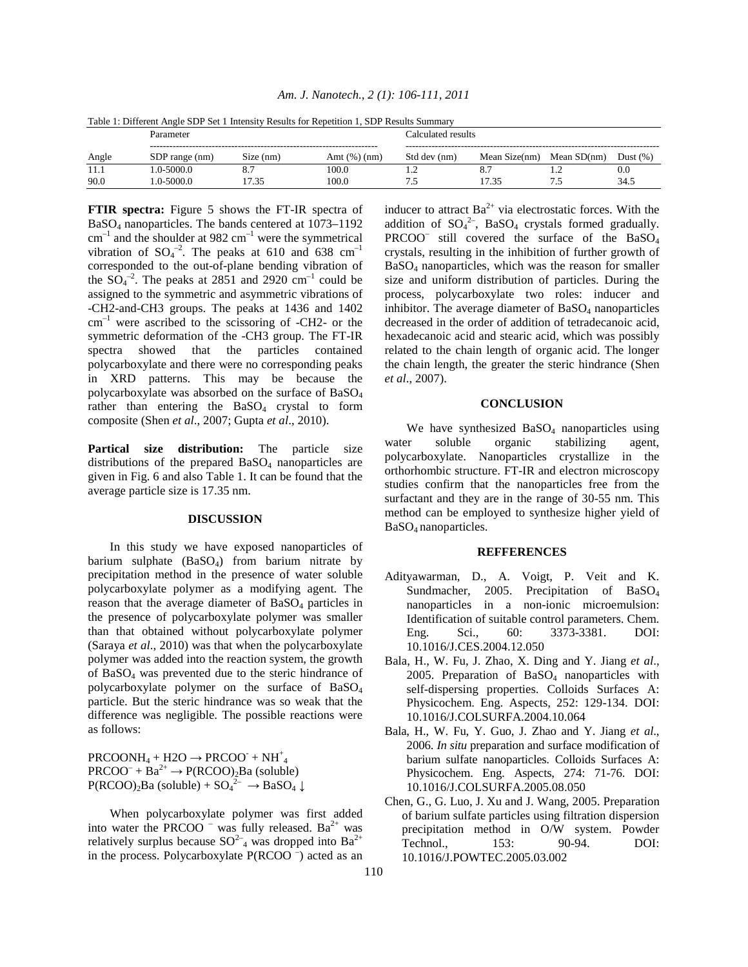| Table 1: Different Angle SDP Set 1 Intensity Results for Repetition 1. SDP Results Summary |                |           |                 |                    |               |               |             |
|--------------------------------------------------------------------------------------------|----------------|-----------|-----------------|--------------------|---------------|---------------|-------------|
|                                                                                            | Parameter      |           |                 | Calculated results |               |               |             |
| Angle                                                                                      | SDP range (nm) | Size (nm) | Amt $(\%)$ (nm) | Std dev (nm)       | Mean Size(nm) | Mean $SD(nm)$ | Dust $(\%)$ |
| 11.1                                                                                       |                |           |                 |                    |               |               |             |
|                                                                                            | $1.0 - 5000.0$ |           | 100.0           |                    | 8.7           |               | 0.0         |

*Am. J. Nanotech., 2 (1): 106-111, 2011* 

**FTIR spectra:** Figure 5 shows the FT-IR spectra of BaSO4 nanoparticles. The bands centered at 1073–1192  $cm^{-1}$  and the shoulder at 982  $cm^{-1}$  were the symmetrical vibration of  $SO_4^{-2}$ . The peaks at 610 and 638 cm<sup>-1</sup> corresponded to the out-of-plane bending vibration of the  $SO_4^{-2}$ . The peaks at 2851 and 2920 cm<sup>-1</sup> could be assigned to the symmetric and asymmetric vibrations of -CH2-and-CH3 groups. The peaks at 1436 and 1402 cm–1 were ascribed to the scissoring of -CH2- or the symmetric deformation of the -CH3 group. The FT-IR spectra showed that the particles contained polycarboxylate and there were no corresponding peaks in XRD patterns. This may be because the polycarboxylate was absorbed on the surface of BaSO<sup>4</sup> rather than entering the  $BaSO<sub>4</sub>$  crystal to form composite (Shen *et al*., 2007; Gupta *et al*., 2010).

**Partical size distribution:** The particle size distributions of the prepared  $BaSO<sub>4</sub>$  nanoparticles are given in Fig. 6 and also Table 1. It can be found that the average particle size is 17.35 nm.

#### **DISCUSSION**

 In this study we have exposed nanoparticles of barium sulphate  $(BaSO<sub>4</sub>)$  from barium nitrate by precipitation method in the presence of water soluble polycarboxylate polymer as a modifying agent. The reason that the average diameter of BaSO<sub>4</sub> particles in the presence of polycarboxylate polymer was smaller than that obtained without polycarboxylate polymer (Saraya *et al*., 2010) was that when the polycarboxylate polymer was added into the reaction system, the growth of  $BaSO<sub>4</sub>$  was prevented due to the steric hindrance of polycarboxylate polymer on the surface of BaSO<sup>4</sup> particle. But the steric hindrance was so weak that the difference was negligible. The possible reactions were as follows:

 $PROONH<sub>4</sub> + H2O \rightarrow PRCOO<sup>-</sup> + NH<sup>+</sup><sub>4</sub>$  $PROO<sup>-</sup> + Ba<sup>2+</sup> \rightarrow P(RCOO)<sub>2</sub>Ba$  (soluble)  $P(RCOO)_2Ba$  (soluble) +  $SO_4^2$ <sup>-</sup>  $\rightarrow$  BaSO<sub>4</sub>  $\downarrow$ 

 When polycarboxylate polymer was first added into water the PRCOO  $^-$  was fully released. Ba<sup>2+</sup> was relatively surplus because  $SO^{2-}_4$  was dropped into  $Ba^{2+}$ in the process. Polycarboxylate  $P(RCOO^{-})$  acted as an inducer to attract  $Ba^{2+}$  via electrostatic forces. With the addition of  $SO_4^2$ , BaSO<sub>4</sub> crystals formed gradually. PRCOO<sup>-</sup> still covered the surface of the BaSO<sub>4</sub> crystals, resulting in the inhibition of further growth of BaSO4 nanoparticles, which was the reason for smaller size and uniform distribution of particles. During the process, polycarboxylate two roles: inducer and inhibitor. The average diameter of  $BaSO<sub>4</sub>$  nanoparticles decreased in the order of addition of tetradecanoic acid, hexadecanoic acid and stearic acid, which was possibly related to the chain length of organic acid. The longer the chain length, the greater the steric hindrance (Shen *et al*., 2007).

# **CONCLUSION**

We have synthesized  $BaSO<sub>4</sub>$  nanoparticles using water soluble organic stabilizing agent, polycarboxylate. Nanoparticles crystallize in the orthorhombic structure. FT-IR and electron microscopy studies confirm that the nanoparticles free from the surfactant and they are in the range of 30-55 nm. This method can be employed to synthesize higher yield of BaSO4 nanoparticles.

#### **REFFERENCES**

- Adityawarman, D., A. Voigt, P. Veit and K. Sundmacher, 2005. Precipitation of BaSO<sub>4</sub> nanoparticles in a non-ionic microemulsion: Identification of suitable control parameters. Chem. Eng. Sci., 60: 3373-3381. DOI: 10.1016/J.CES.2004.12.050
- Bala, H., W. Fu, J. Zhao, X. Ding and Y. Jiang *et al*., 2005. Preparation of  $BaSO<sub>4</sub>$  nanoparticles with self-dispersing properties. Colloids Surfaces A: Physicochem. Eng. Aspects, 252: 129-134. DOI: 10.1016/J.COLSURFA.2004.10.064
- Bala, H., W. Fu, Y. Guo, J. Zhao and Y. Jiang *et al*., 2006. *In situ* preparation and surface modification of barium sulfate nanoparticles. Colloids Surfaces A: Physicochem. Eng. Aspects, 274: 71-76. DOI: 10.1016/J.COLSURFA.2005.08.050
- Chen, G., G. Luo, J. Xu and J. Wang, 2005. Preparation of barium sulfate particles using filtration dispersion precipitation method in O/W system. Powder Technol., 153: 90-94. DOI: 10.1016/J.POWTEC.2005.03.002